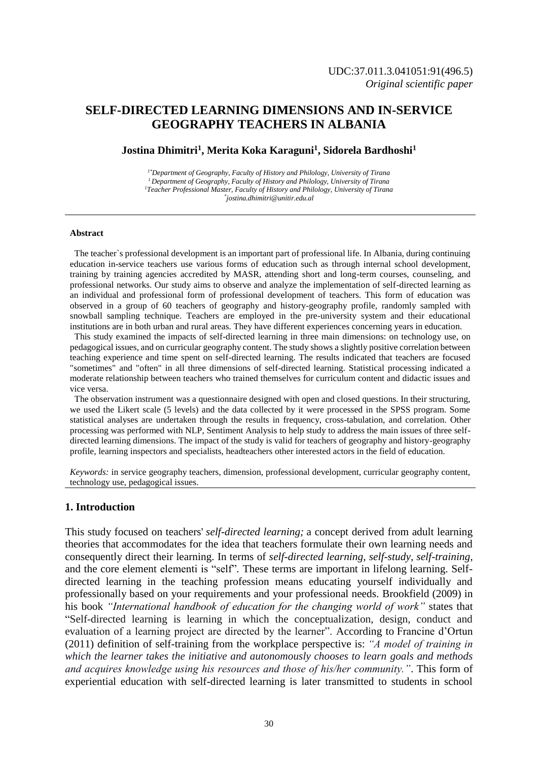# **SELF-DIRECTED LEARNING DIMENSIONS AND IN-SERVICE GEOGRAPHY TEACHERS IN ALBANIA**

### **Jostina Dhimitri<sup>1</sup> , Merita Koka Karaguni<sup>1</sup> , Sidorela Bardhoshi<sup>1</sup>**

*1\*Department of Geography, Faculty of History and Philology, University of Tirana <sup>1</sup>Department of Geography, Faculty of History and Philology, University of Tirana <sup>1</sup>Teacher Professional Master, Faculty of History and Philology, University of Tirana \* jostina.dhimitri@unitir.edu.al*

#### **Abstract**

 The teacher`s professional development is an important part of professional life. In Albania, during continuing education in-service teachers use various forms of education such as through internal school development, training by training agencies accredited by MASR, attending short and long-term courses, counseling, and professional networks. Our study aims to observe and analyze the implementation of self-directed learning as an individual and professional form of professional development of teachers. This form of education was observed in a group of 60 teachers of geography and history-geography profile, randomly sampled with snowball sampling technique. Teachers are employed in the pre-university system and their educational institutions are in both urban and rural areas. They have different experiences concerning years in education.

 This study examined the impacts of self-directed learning in three main dimensions: on technology use, on pedagogical issues, and on curricular geography content. The study shows a slightly positive correlation between teaching experience and time spent on self-directed learning. The results indicated that teachers are focused "sometimes" and "often" in all three dimensions of self-directed learning. Statistical processing indicated a moderate relationship between teachers who trained themselves for curriculum content and didactic issues and vice versa.

 The observation instrument was a questionnaire designed with open and closed questions. In their structuring, we used the Likert scale (5 levels) and the data collected by it were processed in the SPSS program. Some statistical analyses are undertaken through the results in frequency, cross-tabulation, and correlation. Other processing was performed with NLP, Sentiment Analysis to help study to address the main issues of three selfdirected learning dimensions. The impact of the study is valid for teachers of geography and history-geography profile, learning inspectors and specialists, headteachers other interested actors in the field of education.

*Keywords:* in service geography teachers, dimension, professional development, curricular geography content, technology use, pedagogical issues.

### **1. Introduction**

This study focused on teachers' *self-directed learning;* a concept derived from adult learning theories that accommodates for the idea that teachers formulate their own learning needs and consequently direct their learning. In terms of *self-directed learning, self-study, self-training,*  and the core element elementi is "self"*.* These terms are important in lifelong learning. Selfdirected learning in the teaching profession means educating yourself individually and professionally based on your requirements and your professional needs. Brookfield (2009) in his book *"International handbook of education for the changing world of work"* states that "Self-directed learning is learning in which the conceptualization, design, conduct and evaluation of a learning project are directed by the learner". According to Francine d'Ortun (2011) definition of self-training from the workplace perspective is: *"A model of training in which the learner takes the initiative and autonomously chooses to learn goals and methods and acquires knowledge using his resources and those of his/her community."*. This form of experiential education with self-directed learning is later transmitted to students in school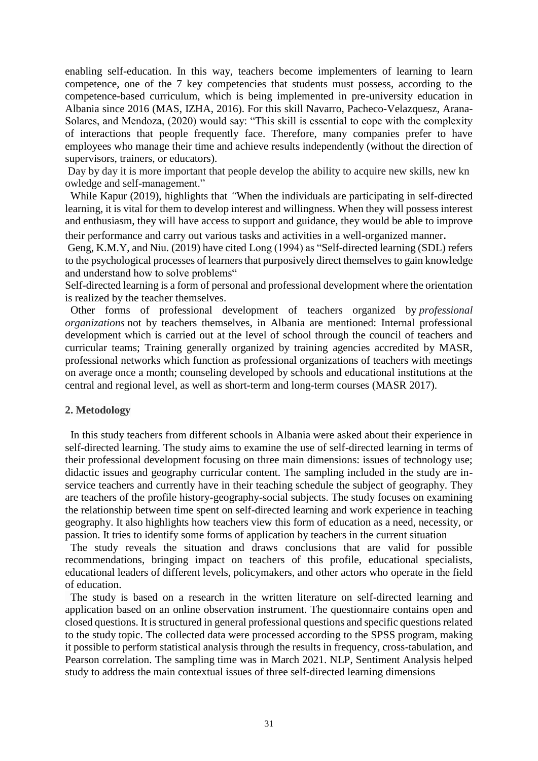enabling self-education. In this way, teachers become implementers of learning to learn competence, one of the 7 key competencies that students must possess, according to the competence-based curriculum, which is being implemented in pre-university education in Albania since 2016 (MAS, IZHA, 2016). For this skill Navarro, Pacheco-Velazquesz, Arana-Solares, and Mendoza, (2020) would say: "This skill is essential to cope with the complexity of interactions that people frequently face. Therefore, many companies prefer to have employees who manage their time and achieve results independently (without the direction of supervisors, trainers, or educators).

Day by day it is more important that people develop the ability to acquire new skills, new kn owledge and self-management."

While Kapur (2019), highlights that *"*When the individuals are participating in self-directed learning, it is vital for them to develop interest and willingness. When they will possess interest and enthusiasm, they will have access to support and guidance, they would be able to improve

their performance and carry out various tasks and activities in a well-organized manner.

Geng, K.M.Y, and Niu. (2019) have cited Long (1994) as "Self-directed learning (SDL) refers to the psychological processes of learners that purposively direct themselves to gain knowledge and understand how to solve problems"

Self-directed learning is a form of personal and professional development where the orientation is realized by the teacher themselves.

 Other forms of professional development of teachers organized by *professional organizations* not by teachers themselves, in Albania are mentioned: Internal professional development which is carried out at the level of school through the council of teachers and curricular teams; Training generally organized by training agencies accredited by MASR, professional networks which function as professional organizations of teachers with meetings on average once a month; counseling developed by schools and educational institutions at the central and regional level, as well as short-term and long-term courses (MASR 2017).

### **2. Metodology**

 In this study teachers from different schools in Albania were asked about their experience in self-directed learning. The study aims to examine the use of self-directed learning in terms of their professional development focusing on three main dimensions: issues of technology use; didactic issues and geography curricular content. The sampling included in the study are inservice teachers and currently have in their teaching schedule the subject of geography. They are teachers of the profile history-geography-social subjects. The study focuses on examining the relationship between time spent on self-directed learning and work experience in teaching geography. It also highlights how teachers view this form of education as a need, necessity, or passion. It tries to identify some forms of application by teachers in the current situation

 The study reveals the situation and draws conclusions that are valid for possible recommendations, bringing impact on teachers of this profile, educational specialists, educational leaders of different levels, policymakers, and other actors who operate in the field of education.

 The study is based on a research in the written literature on self-directed learning and application based on an online observation instrument. The questionnaire contains open and closed questions. It is structured in general professional questions and specific questions related to the study topic. The collected data were processed according to the SPSS program, making it possible to perform statistical analysis through the results in frequency, cross-tabulation, and Pearson correlation. The sampling time was in March 2021. NLP, Sentiment Analysis helped study to address the main contextual issues of three self-directed learning dimensions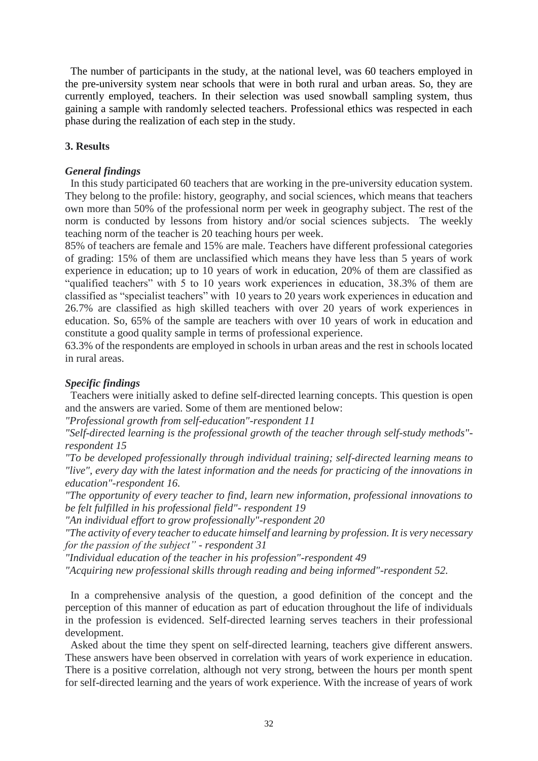The number of participants in the study, at the national level, was 60 teachers employed in the pre-university system near schools that were in both rural and urban areas. So, they are currently employed, teachers. In their selection was used snowball sampling system, thus gaining a sample with randomly selected teachers. Professional ethics was respected in each phase during the realization of each step in the study.

## **3. Results**

### *General findings*

 In this study participated 60 teachers that are working in the pre-university education system. They belong to the profile: history, geography, and social sciences, which means that teachers own more than 50% of the professional norm per week in geography subject. The rest of the norm is conducted by lessons from history and/or social sciences subjects. The weekly teaching norm of the teacher is 20 teaching hours per week.

85% of teachers are female and 15% are male. Teachers have different professional categories of grading: 15% of them are unclassified which means they have less than 5 years of work experience in education; up to 10 years of work in education, 20% of them are classified as "qualified teachers" with 5 to 10 years work experiences in education, 38.3% of them are classified as "specialist teachers" with 10 years to 20 years work experiences in education and 26.7% are classified as high skilled teachers with over 20 years of work experiences in education. So, 65% of the sample are teachers with over 10 years of work in education and constitute a good quality sample in terms of professional experience.

63.3% of the respondents are employed in schools in urban areas and the rest in schools located in rural areas.

### *Specific findings*

 Teachers were initially asked to define self-directed learning concepts. This question is open and the answers are varied. Some of them are mentioned below:

*"Professional growth from self-education"-respondent 11*

*"Self-directed learning is the professional growth of the teacher through self-study methods" respondent 15*

*"To be developed professionally through individual training; self-directed learning means to "live", every day with the latest information and the needs for practicing of the innovations in education"-respondent 16.*

*"The opportunity of every teacher to find, learn new information, professional innovations to be felt fulfilled in his professional field"- respondent 19*

*"An individual effort to grow professionally"-respondent 20*

*"The activity of every teacher to educate himself and learning by profession. It is very necessary for the passion of the subject" - respondent 31*

*"Individual education of the teacher in his profession"-respondent 49*

*"Acquiring new professional skills through reading and being informed"-respondent 52.*

 In a comprehensive analysis of the question, a good definition of the concept and the perception of this manner of education as part of education throughout the life of individuals in the profession is evidenced. Self-directed learning serves teachers in their professional development.

 Asked about the time they spent on self-directed learning, teachers give different answers. These answers have been observed in correlation with years of work experience in education. There is a positive correlation, although not very strong, between the hours per month spent for self-directed learning and the years of work experience. With the increase of years of work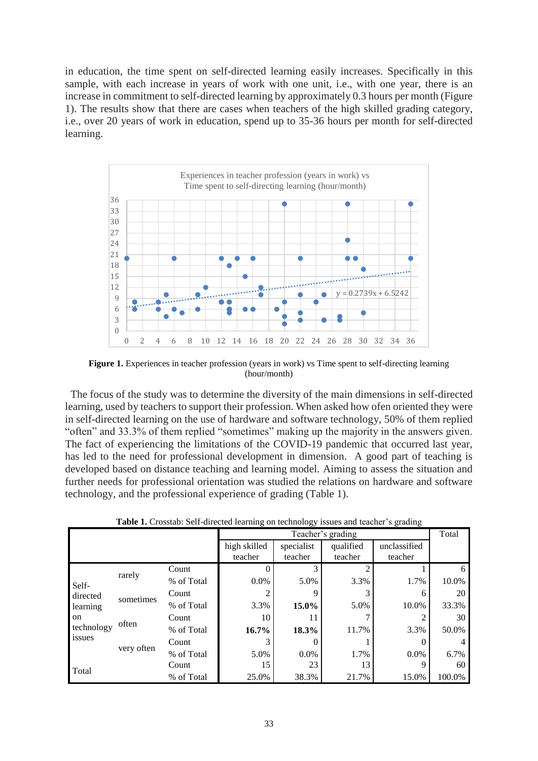in education, the time spent on self-directed learning easily increases. Specifically in this sample, with each increase in years of work with one unit, i.e., with one year, there is an increase in commitment to self-directed learning by approximately 0.3 hours per month (Figure 1). The results show that there are cases when teachers of the high skilled grading category, i.e., over 20 years of work in education, spend up to 35-36 hours per month for self-directed learning.



**Figure 1.** Experiences in teacher profession (years in work) vs Time spent to self-directing learning (hour/month)

 The focus of the study was to determine the diversity of the main dimensions in self-directed learning, used by teachers to support their profession. When asked how ofen oriented they were in self-directed learning on the use of hardware and software technology, 50% of them replied "often" and 33.3% of them replied "sometimes" making up the majority in the answers given. The fact of experiencing the limitations of the COVID-19 pandemic that occurred last year, has led to the need for professional development in dimension. A good part of teaching is developed based on distance teaching and learning model. Aiming to assess the situation and further needs for professional orientation was studied the relations on hardware and software technology, and the professional experience of grading (Table 1).

|                                                             |            |            | Teacher's grading       |                       |                      |                         | Total  |
|-------------------------------------------------------------|------------|------------|-------------------------|-----------------------|----------------------|-------------------------|--------|
|                                                             |            |            | high skilled<br>teacher | specialist<br>teacher | qualified<br>teacher | unclassified<br>teacher |        |
| Self-<br>directed<br>learning<br>on<br>technology<br>issues | rarely     | Count      |                         | 3                     |                      |                         | 6      |
|                                                             |            | % of Total | $0.0\%$                 | 5.0%                  | 3.3%                 | 1.7%                    | 10.0%  |
|                                                             | sometimes  | Count      | 2                       | 9                     |                      | 6                       | 20     |
|                                                             |            | % of Total | 3.3%                    | 15.0%                 | 5.0%                 | 10.0%                   | 33.3%  |
|                                                             | often      | Count      | 10                      | 11                    |                      | $\overline{c}$          | 30     |
|                                                             |            | % of Total | 16.7%                   | 18.3%                 | 11.7%                | 3.3%                    | 50.0%  |
|                                                             | very often | Count      | 3                       |                       |                      |                         |        |
|                                                             |            | % of Total | 5.0%                    | $0.0\%$               | 1.7%                 | $0.0\%$                 | 6.7%   |
| Total                                                       |            | Count      | 15                      | 23                    | 13                   | 9                       | 60     |
|                                                             |            | % of Total | 25.0%                   | 38.3%                 | 21.7%                | 15.0%                   | 100.0% |

**Table 1.** Crosstab: Self-directed learning on technology issues and teacher's grading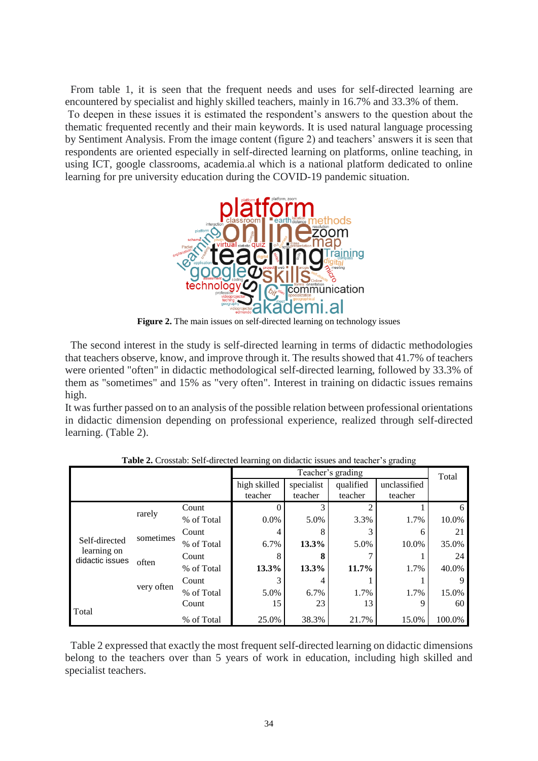From table 1, it is seen that the frequent needs and uses for self-directed learning are encountered by specialist and highly skilled teachers, mainly in 16.7% and 33.3% of them.

To deepen in these issues it is estimated the respondent's answers to the question about the thematic frequented recently and their main keywords. It is used natural language processing by Sentiment Analysis. From the image content (figure 2) and teachers' answers it is seen that respondents are oriented especially in self-directed learning on platforms, online teaching, in using ICT, google classrooms, academia.al which is a national platform dedicated to online learning for pre university education during the COVID-19 pandemic situation.



Figure 2. The main issues on self-directed learning on technology issues

 The second interest in the study is self-directed learning in terms of didactic methodologies that teachers observe, know, and improve through it. The results showed that 41.7% of teachers were oriented "often" in didactic methodological self-directed learning, followed by 33.3% of them as "sometimes" and 15% as "very often". Interest in training on didactic issues remains high.

It was further passed on to an analysis of the possible relation between professional orientations in didactic dimension depending on professional experience, realized through self-directed learning. (Table 2).

|                                |            |            | Teacher's grading       |                       |                      |                         | Total  |
|--------------------------------|------------|------------|-------------------------|-----------------------|----------------------|-------------------------|--------|
|                                |            |            | high skilled<br>teacher | specialist<br>teacher | qualified<br>teacher | unclassified<br>teacher |        |
|                                | rarely     | Count      |                         |                       |                      |                         | 6      |
|                                |            | % of Total | $0.0\%$                 | 5.0%                  | 3.3%                 | 1.7%                    | 10.0%  |
|                                | sometimes  | Count      | 4                       | 8                     |                      | 6                       | 21     |
| Self-directed                  |            | % of Total | 6.7%                    | 13.3%                 | 5.0%                 | 10.0%                   | 35.0%  |
| learning on<br>didactic issues | often      | Count      | 8                       | 8                     |                      |                         | 24     |
|                                |            | % of Total | 13.3%                   | 13.3%                 | 11.7%                | 1.7%                    | 40.0%  |
|                                | very often | Count      |                         |                       |                      |                         | 9      |
|                                |            | % of Total | 5.0%                    | 6.7%                  | 1.7%                 | 1.7%                    | 15.0%  |
|                                |            | Count      | 15                      | 23                    | 13                   | $\mathbf Q$             | 60     |
| Total                          |            | % of Total | 25.0%                   | 38.3%                 | 21.7%                | 15.0%                   | 100.0% |

**Table 2.** Crosstab: Self-directed learning on didactic issues and teacher's grading

 Table 2 expressed that exactly the most frequent self-directed learning on didactic dimensions belong to the teachers over than 5 years of work in education, including high skilled and specialist teachers.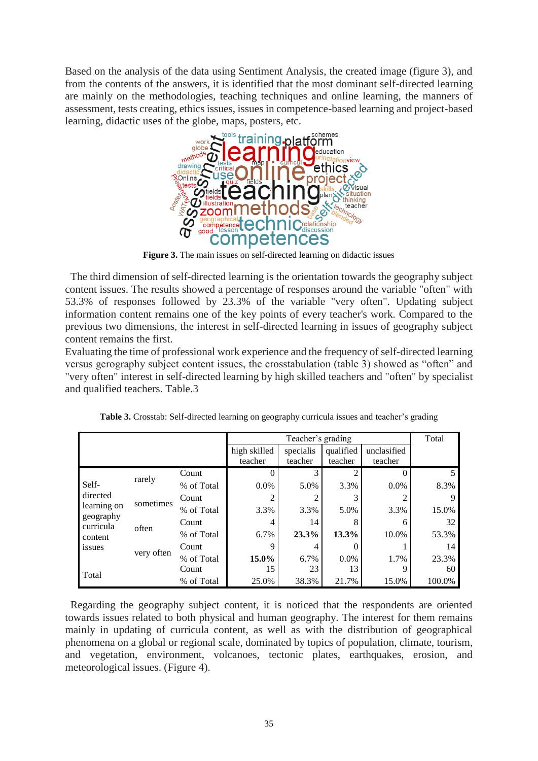Based on the analysis of the data using Sentiment Analysis, the created image (figure 3), and from the contents of the answers, it is identified that the most dominant self-directed learning are mainly on the methodologies, teaching techniques and online learning, the manners of assessment, tests creating, ethics issues, issues in competence-based learning and project-based learning, didactic uses of the globe, maps, posters, etc.



**Figure 3.** The main issues on self-directed learning on didactic issues

 The third dimension of self-directed learning is the orientation towards the geography subject content issues. The results showed a percentage of responses around the variable "often" with 53.3% of responses followed by 23.3% of the variable "very often". Updating subject information content remains one of the key points of every teacher's work. Compared to the previous two dimensions, the interest in self-directed learning in issues of geography subject content remains the first.

Evaluating the time of professional work experience and the frequency of self-directed learning versus gerography subject content issues, the crosstabulation (table 3) showed as "often" and "very often" interest in self-directed learning by high skilled teachers and "often" by specialist and qualified teachers. Table.3

|                                                                       |            |            | Teacher's grading |           |           |             | Total  |
|-----------------------------------------------------------------------|------------|------------|-------------------|-----------|-----------|-------------|--------|
|                                                                       |            |            | high skilled      | specialis | qualified | unclasified |        |
|                                                                       |            |            | teacher           | teacher   | teacher   | teacher     |        |
| Self-<br>directed<br>learning on<br>geography<br>curricula<br>content | rarely     | Count      | $\theta$          |           | ◠         | O           | 5.     |
|                                                                       |            | % of Total | $0.0\%$           | 5.0%      | 3.3%      | $0.0\%$     | 8.3%   |
|                                                                       | sometimes  | Count      | 2                 |           |           | 2           | 9      |
|                                                                       |            | % of Total | 3.3%              | 3.3%      | 5.0%      | 3.3%        | 15.0%  |
|                                                                       | often      | Count      | 4                 | 14        | 8         | 6           | 32     |
|                                                                       |            | % of Total | 6.7%              | 23.3%     | 13.3%     | 10.0%       | 53.3%  |
| issues                                                                | very often | Count      | 9                 |           |           |             | 14     |
|                                                                       |            | % of Total | 15.0%             | 6.7%      | $0.0\%$   | 1.7%        | 23.3%  |
| Total                                                                 |            | Count      | 15                | 23        | 13        | 9           | 60     |
|                                                                       |            | % of Total | 25.0%             | 38.3%     | 21.7%     | 15.0%       | 100.0% |

**Table 3.** Crosstab: Self-directed learning on geography curricula issues and teacher's grading

 Regarding the geography subject content, it is noticed that the respondents are oriented towards issues related to both physical and human geography. The interest for them remains mainly in updating of curricula content, as well as with the distribution of geographical phenomena on a global or regional scale, dominated by topics of population, climate, tourism, and vegetation, environment, volcanoes, tectonic plates, earthquakes, erosion, and meteorological issues. (Figure 4).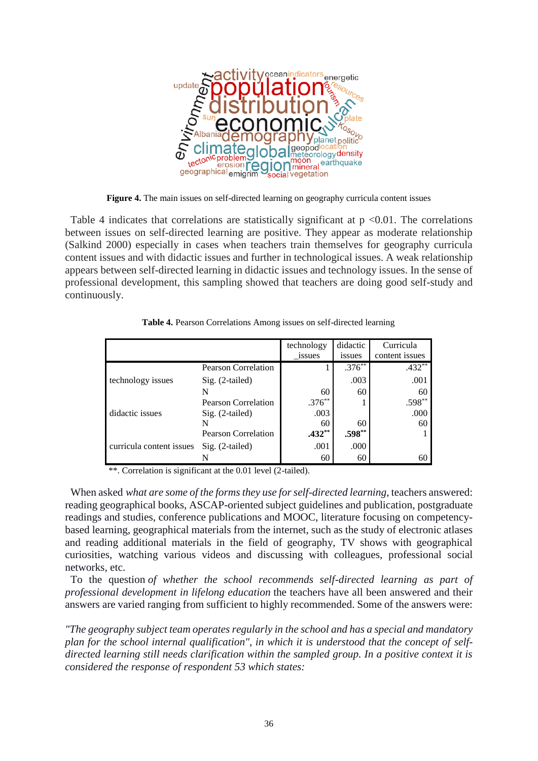

**Figure 4.** The main issues on self-directed learning on geography curricula content issues

Table 4 indicates that correlations are statistically significant at  $p \le 0.01$ . The correlations between issues on self-directed learning are positive. They appear as moderate relationship (Salkind 2000) especially in cases when teachers train themselves for geography curricula content issues and with didactic issues and further in technological issues. A weak relationship appears between self-directed learning in didactic issues and technology issues. In the sense of professional development, this sampling showed that teachers are doing good self-study and continuously.

|                          |                            | technology | didactic | Curricula      |
|--------------------------|----------------------------|------------|----------|----------------|
|                          |                            | issues     | issues   | content issues |
|                          | <b>Pearson Correlation</b> |            | $.376**$ | $.432**$       |
| technology issues        | $Sig. (2-tailed)$          |            | .003     | .001           |
|                          |                            | 60         | 60       | 60             |
|                          | Pearson Correlation        | $.376**$   |          | $.598**$       |
| didactic issues          | Sig. (2-tailed)            | .003       |          | .000           |
|                          |                            | 60         | 60       | 60             |
|                          | <b>Pearson Correlation</b> | $.432**$   | $.598**$ |                |
| curricula content issues | $Sig. (2-tailed)$          | .001       | .000     |                |
|                          |                            | 60         | 60       | 60             |

**Table 4.** Pearson Correlations Among issues on self-directed learning

\*\*. Correlation is significant at the 0.01 level (2-tailed).

 When asked *what are some of the forms they use for self-directed learning*, teachers answered: reading geographical books, ASCAP-oriented subject guidelines and publication, postgraduate readings and studies, conference publications and MOOC, literature focusing on competencybased learning, geographical materials from the internet, such as the study of electronic atlases and reading additional materials in the field of geography, TV shows with geographical curiosities, watching various videos and discussing with colleagues, professional social networks, etc.

 To the question *of whether the school recommends self-directed learning as part of professional development in lifelong education* the teachers have all been answered and their answers are varied ranging from sufficient to highly recommended. Some of the answers were:

*"The geography subject team operates regularly in the school and has a special and mandatory plan for the school internal qualification", in which it is understood that the concept of selfdirected learning still needs clarification within the sampled group. In a positive context it is considered the response of respondent 53 which states:*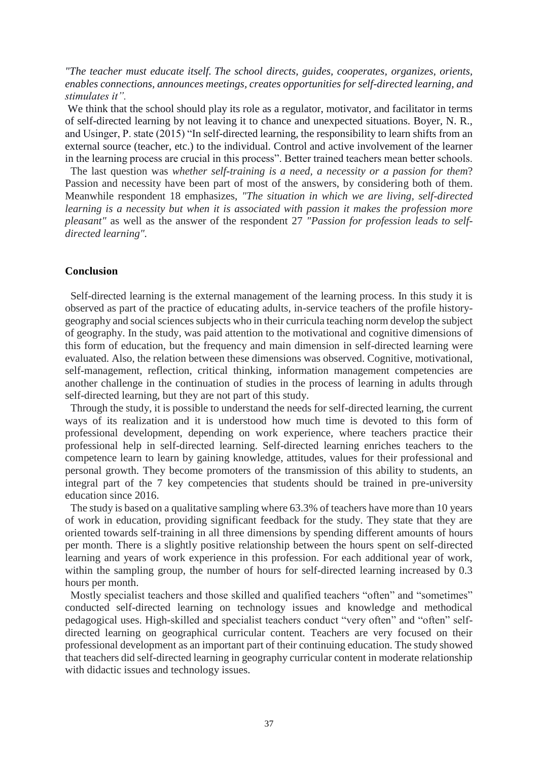*"The teacher must educate itself. The school directs, guides, cooperates, organizes, orients, enables connections, announces meetings, creates opportunities for self-directed learning, and stimulates it".*

We think that the school should play its role as a regulator, motivator, and facilitator in terms of self-directed learning by not leaving it to chance and unexpected situations. Boyer, N. R., and Usinger, P. state (2015) "In self-directed learning, the responsibility to learn shifts from an external source (teacher, etc.) to the individual. Control and active involvement of the learner in the learning process are crucial in this process". Better trained teachers mean better schools.

 The last question was *whether self-training is a need, a necessity or a passion for them*? Passion and necessity have been part of most of the answers, by considering both of them. Meanwhile respondent 18 emphasizes, *"The situation in which we are living, self-directed learning is a necessity but when it is associated with passion it makes the profession more pleasant"* as well as the answer of the respondent 27 *"Passion for profession leads to selfdirected learning".*

### **Conclusion**

 Self-directed learning is the external management of the learning process. In this study it is observed as part of the practice of educating adults, in-service teachers of the profile historygeography and social sciences subjects who in their curricula teaching norm develop the subject of geography. In the study, was paid attention to the motivational and cognitive dimensions of this form of education, but the frequency and main dimension in self-directed learning were evaluated. Also, the relation between these dimensions was observed. Cognitive, motivational, self-management, reflection, critical thinking, information management competencies are another challenge in the continuation of studies in the process of learning in adults through self-directed learning, but they are not part of this study.

 Through the study, it is possible to understand the needs for self-directed learning, the current ways of its realization and it is understood how much time is devoted to this form of professional development, depending on work experience, where teachers practice their professional help in self-directed learning. Self-directed learning enriches teachers to the competence learn to learn by gaining knowledge, attitudes, values for their professional and personal growth. They become promoters of the transmission of this ability to students, an integral part of the 7 key competencies that students should be trained in pre-university education since 2016.

 The study is based on a qualitative sampling where 63.3% of teachers have more than 10 years of work in education, providing significant feedback for the study. They state that they are oriented towards self-training in all three dimensions by spending different amounts of hours per month. There is a slightly positive relationship between the hours spent on self-directed learning and years of work experience in this profession. For each additional year of work, within the sampling group, the number of hours for self-directed learning increased by 0.3 hours per month.

 Mostly specialist teachers and those skilled and qualified teachers "often" and "sometimes" conducted self-directed learning on technology issues and knowledge and methodical pedagogical uses. High-skilled and specialist teachers conduct "very often" and "often" selfdirected learning on geographical curricular content. Teachers are very focused on their professional development as an important part of their continuing education. The study showed that teachers did self-directed learning in geography curricular content in moderate relationship with didactic issues and technology issues.